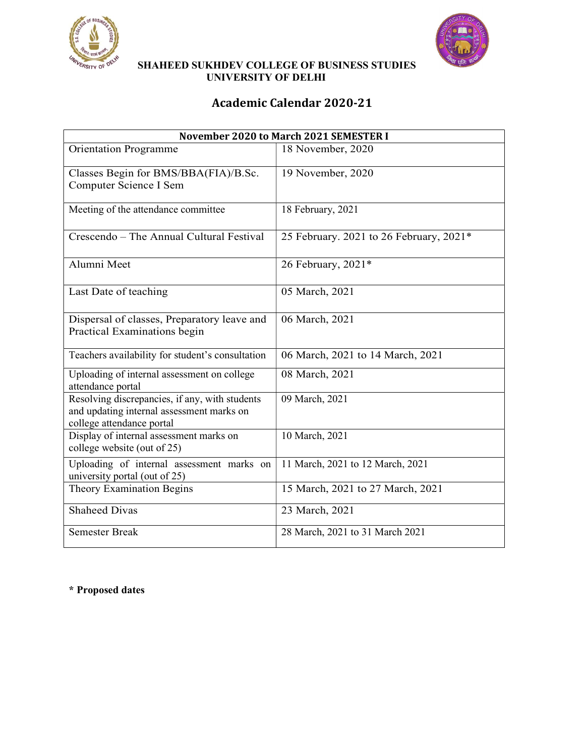



 SHAHEED SUKHDEV COLLEGE OF BUSINESS STUDIES UNIVERSITY OF DELHI

## Academic Calendar 2020-21

|                                                                                                                          | November 2020 to March 2021 SEMESTER I  |
|--------------------------------------------------------------------------------------------------------------------------|-----------------------------------------|
| <b>Orientation Programme</b>                                                                                             | 18 November, 2020                       |
| Classes Begin for BMS/BBA(FIA)/B.Sc.<br>Computer Science I Sem                                                           | 19 November, 2020                       |
| Meeting of the attendance committee                                                                                      | 18 February, 2021                       |
| Crescendo - The Annual Cultural Festival                                                                                 | 25 February. 2021 to 26 February, 2021* |
| Alumni Meet                                                                                                              | 26 February, 2021*                      |
| Last Date of teaching                                                                                                    | 05 March, 2021                          |
| Dispersal of classes, Preparatory leave and<br>Practical Examinations begin                                              | 06 March, 2021                          |
| Teachers availability for student's consultation                                                                         | 06 March, 2021 to 14 March, 2021        |
| Uploading of internal assessment on college<br>attendance portal                                                         | 08 March, 2021                          |
| Resolving discrepancies, if any, with students<br>and updating internal assessment marks on<br>college attendance portal | 09 March, 2021                          |
| Display of internal assessment marks on<br>college website (out of 25)                                                   | 10 March, 2021                          |
| Uploading of internal assessment marks on<br>university portal (out of 25)                                               | 11 March, 2021 to 12 March, 2021        |
| Theory Examination Begins                                                                                                | 15 March, 2021 to 27 March, 2021        |
| <b>Shaheed Divas</b>                                                                                                     | 23 March, 2021                          |
| <b>Semester Break</b>                                                                                                    | 28 March, 2021 to 31 March 2021         |

\* Proposed dates